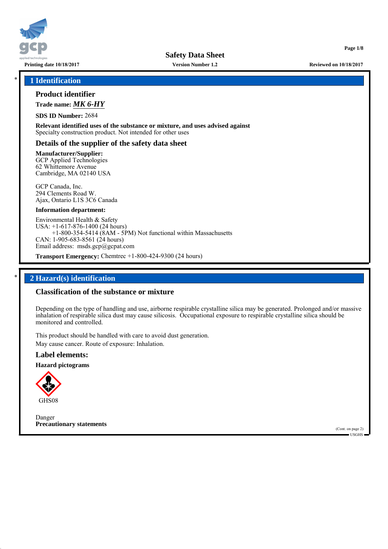

**Version Number 1.2**

### \* **1 Identification**

## **Product identifier**

**Trade name:** *MK 6-HY*

**SDS ID Number:** 2684

**Relevant identified uses of the substance or mixture, and uses advised against** Specialty construction product. Not intended for other uses

### **Details of the supplier of the safety data sheet**

**Manufacturer/Supplier:** GCP Applied Technologies 62 Whittemore Avenue Cambridge, MA 02140 USA

GCP Canada, Inc. 294 Clements Road W. Ajax, Ontario L1S 3C6 Canada

#### **Information department:**

Environmental Health & Safety USA: +1-617-876-1400 (24 hours) +1-800-354-5414 (8AM - 5PM) Not functional within Massachusetts CAN: 1-905-683-8561 (24 hours) Email address: msds.gcp@gcpat.com

**Transport Emergency:** Chemtrec +1-800-424-9300 (24 hours)

### \* **2 Hazard(s) identification**

### **Classification of the substance or mixture**

Depending on the type of handling and use, airborne respirable crystalline silica may be generated. Prolonged and/or massive inhalation of respirable silica dust may cause silicosis. Occupational exposure to respirable crystalline silica should be monitored and controlled.

This product should be handled with care to avoid dust generation. May cause cancer. Route of exposure: Inhalation.

# **Label elements:**

**Hazard pictograms**



Danger **Precautionary statements**

(Cont. on page 2) USGHS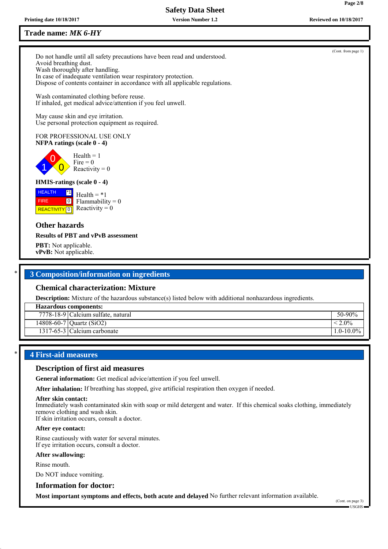**Version Number 1.2**

# **Trade name:** *MK 6-HY*

Do not handle until all safety precautions have been read and understood. Avoid breathing dust. Wash thoroughly after handling. In case of inadequate ventilation wear respiratory protection. Dispose of contents container in accordance with all applicable regulations.

Wash contaminated clothing before reuse. If inhaled, get medical advice/attention if you feel unwell.

May cause skin and eye irritation. Use personal protection equipment as required.

### FOR PROFESSIONAL USE ONLY **NFPA ratings (scale 0 - 4)**

0  $\overline{0}$  $Health = 1$ Fire  $= 0$ Reactivity  $= 0$ 

# **HMIS-ratings (scale 0 - 4)**

**HEALTH**  FIRE **REACTIVITY** 0 \*1  $\boxed{0}$  $Health = *1$  $Flammability = 0$ Reactivity  $= 0$ 

# **Other hazards**

1

### **Results of PBT and vPvB assessment**

**PBT:** Not applicable. **vPvB:** Not applicable.

# \* **3 Composition/information on ingredients**

# **Chemical characterization: Mixture**

**Description:** Mixture of the hazardous substance(s) listed below with additional nonhazardous ingredients.

| <b>Hazardous components:</b> |                                    |                |
|------------------------------|------------------------------------|----------------|
|                              | 7778-18-9 Calcium sulfate, natural | 50-90%         |
|                              | 14808-60-7 Quartz (SiO2)           | $\leq 2.0\%$   |
|                              | 1317-65-3 Calcium carbonate        | $1.0 - 10.0\%$ |
|                              |                                    |                |

# \* **4 First-aid measures**

# **Description of first aid measures**

**General information:** Get medical advice/attention if you feel unwell.

**After inhalation:** If breathing has stopped, give artificial respiration then oxygen if needed.

#### **After skin contact:**

Immediately wash contaminated skin with soap or mild detergent and water. If this chemical soaks clothing, immediately remove clothing and wash skin.

If skin irritation occurs, consult a doctor.

### **After eye contact:**

Rinse cautiously with water for several minutes. If eye irritation occurs, consult a doctor.

# **After swallowing:**

Rinse mouth.

Do NOT induce vomiting.

### **Information for doctor:**

**Most important symptoms and effects, both acute and delayed** No further relevant information available.

(Cont. from page 1)

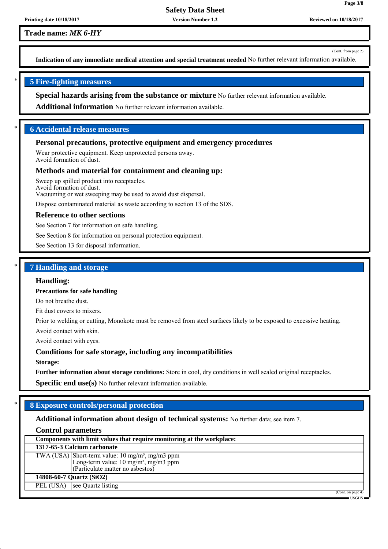**Version Number 1.2**

**Trade name:** *MK 6-HY*

(Cont. from page 2)

**Page 3/8**

**Indication of any immediate medical attention and special treatment needed** No further relevant information available.

# \* **5 Fire-fighting measures**

**Special hazards arising from the substance or mixture** No further relevant information available.

**Additional information** No further relevant information available.

# \* **6 Accidental release measures**

### **Personal precautions, protective equipment and emergency procedures**

Wear protective equipment. Keep unprotected persons away. Avoid formation of dust.

#### **Methods and material for containment and cleaning up:**

Sweep up spilled product into receptacles. Avoid formation of dust. Vacuuming or wet sweeping may be used to avoid dust dispersal.

Dispose contaminated material as waste according to section 13 of the SDS.

#### **Reference to other sections**

See Section 7 for information on safe handling.

See Section 8 for information on personal protection equipment.

See Section 13 for disposal information.

### \* **7 Handling and storage**

#### **Handling:**

### **Precautions for safe handling**

Do not breathe dust.

Fit dust covers to mixers.

Prior to welding or cutting, Monokote must be removed from steel surfaces likely to be exposed to excessive heating.

Avoid contact with skin.

Avoid contact with eyes.

### **Conditions for safe storage, including any incompatibilities**

**Storage:**

**Further information about storage conditions:** Store in cool, dry conditions in well sealed original receptacles.

**Specific end use(s)** No further relevant information available.

# \* **8 Exposure controls/personal protection**

# **Additional information about design of technical systems:** No further data; see item 7.

### **Control parameters**

| Components with limit values that require monitoring at the workplace: |                                                                                                                                                     |
|------------------------------------------------------------------------|-----------------------------------------------------------------------------------------------------------------------------------------------------|
|                                                                        | 1317-65-3 Calcium carbonate                                                                                                                         |
|                                                                        | TWA (USA) Short-term value: $10 \text{ mg/m}^3$ , mg/m3 ppm<br>Long-term value: $10 \text{ mg/m}^3$ , mg/m3 ppm<br>(Particulate matter no asbestos) |
|                                                                        | 14808-60-7 Quartz (SiO2)                                                                                                                            |
| PEL (USA)                                                              | see Quartz listing                                                                                                                                  |
|                                                                        | (Cont. on page 4)                                                                                                                                   |

USGHS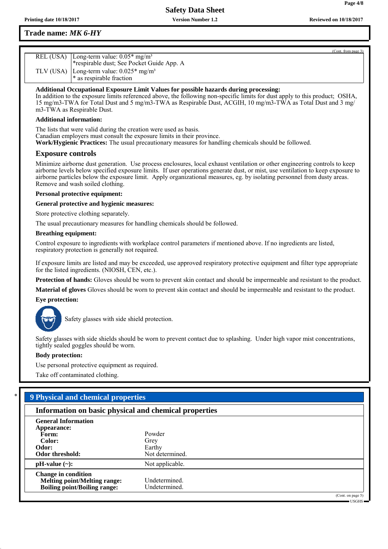# **Trade name:** *MK 6-HY*

| (Cont. from page 3)                                   |
|-------------------------------------------------------|
| REL (USA) Long-term value: $0.05*$ mg/m <sup>3</sup>  |
| *respirable dust; See Pocket Guide App. A             |
| TLV (USA) Long-term value: $0.025*$ mg/m <sup>3</sup> |
| $\ast$ as respirable fraction                         |

**Additional Occupational Exposure Limit Values for possible hazards during processing:**

In addition to the exposure limits referenced above, the following non-specific limits for dust apply to this product; OSHA, 15 mg/m3-TWA for Total Dust and 5 mg/m3-TWA as Respirable Dust, ACGIH, 10 mg/m3-TWA as Total Dust and 3 mg/ m3-TWA as Respirable Dust.

### **Additional information:**

The lists that were valid during the creation were used as basis. Canadian employers must consult the exposure limits in their province. **Work/Hygienic Practices:** The usual precautionary measures for handling chemicals should be followed.

### **Exposure controls**

Minimize airborne dust generation. Use process enclosures, local exhaust ventilation or other engineering controls to keep airborne levels below specified exposure limits. If user operations generate dust, or mist, use ventilation to keep exposure to airborne particles below the exposure limit. Apply organizational measures, eg. by isolating personnel from dusty areas. Remove and wash soiled clothing.

### **Personal protective equipment:**

**General protective and hygienic measures:**

Store protective clothing separately.

The usual precautionary measures for handling chemicals should be followed.

### **Breathing equipment:**

Control exposure to ingredients with workplace control parameters if mentioned above. If no ingredients are listed, respiratory protection is generally not required.

If exposure limits are listed and may be exceeded, use approved respiratory protective equipment and filter type appropriate for the listed ingredients. (NIOSH, CEN, etc.).

**Protection of hands:** Gloves should be worn to prevent skin contact and should be impermeable and resistant to the product.

**Material of gloves** Gloves should be worn to prevent skin contact and should be impermeable and resistant to the product.

### **Eye protection:**



Safety glasses with side shield protection.

Safety glasses with side shields should be worn to prevent contact due to splashing. Under high vapor mist concentrations, tightly sealed goggles should be worn.

### **Body protection:**

Use personal protective equipment as required.

Take off contaminated clothing.

# \* **9 Physical and chemical properties**

|                                                                                                          | Information on basic physical and chemical properties |  |  |  |
|----------------------------------------------------------------------------------------------------------|-------------------------------------------------------|--|--|--|
| <b>General Information</b><br>Appearance:<br>Form:<br>Color:<br>Odor:<br>Odor threshold:                 | Powder<br>Grey<br>Earthy<br>Not determined.           |  |  |  |
| $pH-value$ (~):                                                                                          | Not applicable.                                       |  |  |  |
| <b>Change in condition</b><br><b>Melting point/Melting range:</b><br><b>Boiling point/Boiling range:</b> | Undetermined.<br>Undetermined.                        |  |  |  |
|                                                                                                          |                                                       |  |  |  |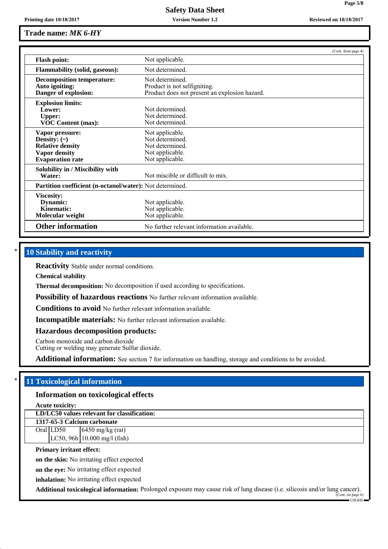**Version Number 1.2**

|                                                                                                                    |                                                                                                  | (Cont. from page 4) |
|--------------------------------------------------------------------------------------------------------------------|--------------------------------------------------------------------------------------------------|---------------------|
| <b>Flash point:</b>                                                                                                | Not applicable.                                                                                  |                     |
| <b>Flammability (solid, gaseous):</b>                                                                              | Not determined.                                                                                  |                     |
| <b>Decomposition temperature:</b><br>Auto igniting:<br>Danger of explosion:                                        | Not determined.<br>Product is not selfigniting.<br>Product does not present an explosion hazard. |                     |
| <b>Explosion limits:</b><br>Lower:<br><b>Upper:</b><br><b>VOC Content (max):</b>                                   | Not determined<br>Not determined.<br>Not determined.                                             |                     |
| Vapor pressure:<br>Density: $(\sim)$<br><b>Relative density</b><br><b>Vapor density</b><br><b>Evaporation rate</b> | Not applicable.<br>Not determined.<br>Not determined.<br>Not applicable.<br>Not applicable.      |                     |
| Solubility in / Miscibility with<br>Water:                                                                         | Not miscible or difficult to mix.                                                                |                     |
| Partition coefficient (n-octanol/water): Not determined.                                                           |                                                                                                  |                     |
| Viscosity:<br>Dynamic:<br>Kinematic:<br>Molecular weight                                                           | Not applicable.<br>Not applicable.<br>Not applicable.                                            |                     |
| <b>Other information</b>                                                                                           | No further relevant information available.                                                       |                     |

# **10 Stability and reactivity**

**Reactivity** Stable under normal conditions.

**Chemical stability**

**Thermal decomposition:** No decomposition if used according to specifications.

**Possibility of hazardous reactions** No further relevant information available.

**Conditions to avoid** No further relevant information available.

**Incompatible materials:** No further relevant information available.

**Hazardous decomposition products:**

Carbon monoxide and carbon dioxide

Cutting or welding may generate Sulfur dioxide.

**Additional information:** See section 7 for information on handling, storage and conditions to be avoided.

# \* **11 Toxicological information**

### **Information on toxicological effects**

**Acute toxicity:**

**LD/LC50 values relevant for classification:**

**1317-65-3 Calcium carbonate** Oral LD50  $\left| \right.$  6450 mg/kg (rat) LC50, 96h 10.000 mg/l (fish)

#### **Primary irritant effect:**

**on the skin:** No irritating effect expected

**on the eye:** No irritating effect expected

**inhalation:** No irritating effect expected

**Additional toxicological information:** Prolonged exposure may cause risk of lung disease (i.e. silicosis and/or lung cancer).

**Page 5/8**

**Printing date 10/18/2017 Reviewed on 10/18/2017**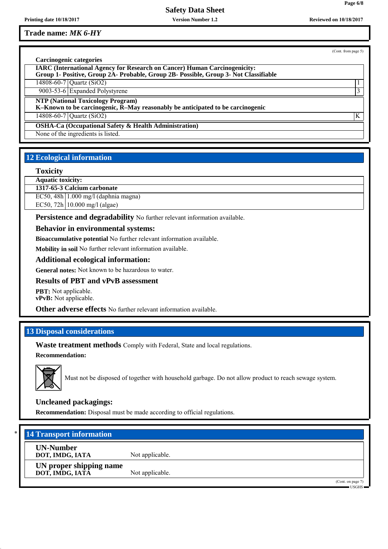**Version Number 1.2**

**Trade name:** *MK 6-HY*

(Cont. from page 5)

**Page 6/8**

| Carcinogenic categories                                                                                                                                                  |   |
|--------------------------------------------------------------------------------------------------------------------------------------------------------------------------|---|
| <b>IARC (International Agency for Research on Cancer) Human Carcinogenicity:</b><br>Group 1- Positive, Group 2A- Probable, Group 2B- Possible, Group 3- Not Classifiable |   |
| 14808-60-7 Quartz (SiO2)                                                                                                                                                 |   |
| 9003-53-6 Expanded Polystyrene                                                                                                                                           |   |
| <b>NTP (National Toxicology Program)</b><br>K-Known to be carcinogenic, R-May reasonably be anticipated to be carcinogenic                                               |   |
| 14808-60-7 Quartz (SiO2)                                                                                                                                                 | K |
| <b>OSHA-Ca (Occupational Safety &amp; Health Administration)</b>                                                                                                         |   |
| None of the ingredients is listed.                                                                                                                                       |   |

# **12 Ecological information**

### **Toxicity**

**Aquatic toxicity:**

**1317-65-3 Calcium carbonate**

EC50, 48h 1.000 mg/l (daphnia magna)

EC50, 72h 10.000 mg/l (algae)

**Persistence and degradability** No further relevant information available.

### **Behavior in environmental systems:**

**Bioaccumulative potential** No further relevant information available.

**Mobility in soil** No further relevant information available.

### **Additional ecological information:**

**General notes:** Not known to be hazardous to water.

# **Results of PBT and vPvB assessment**

**PBT:** Not applicable. **vPvB:** Not applicable.

**Other adverse effects** No further relevant information available.

# **13 Disposal considerations**

**Waste treatment methods** Comply with Federal, State and local regulations.

**Recommendation:**



Must not be disposed of together with household garbage. Do not allow product to reach sewage system.

# **Uncleaned packagings:**

**Recommendation:** Disposal must be made according to official regulations.

# **14 Transport information**

**UN-Number**

**DOT, IMDG, IATA** Not applicable. **UN proper shipping name DOT, IMDG, IATA** Not applicable.

> (Cont. on page 7) USGHS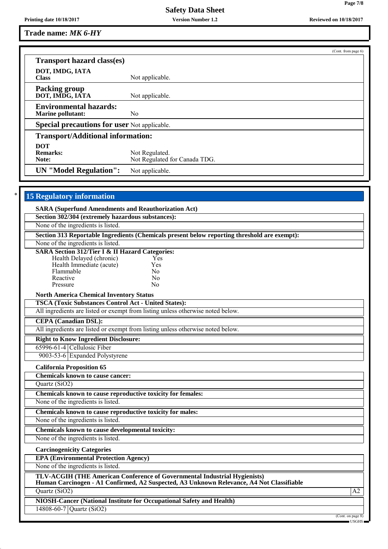**Version Number 1.2**

**Trade name:** *MK 6-HY*

|                                                            | (Cont. from page 6)                                                                          |
|------------------------------------------------------------|----------------------------------------------------------------------------------------------|
| <b>Transport hazard class(es)</b>                          |                                                                                              |
| DOT, IMDG, IATA                                            |                                                                                              |
| <b>Class</b>                                               | Not applicable.                                                                              |
| <b>Packing group</b>                                       |                                                                                              |
| DOT, IMDG, IATA                                            | Not applicable.                                                                              |
| <b>Environmental hazards:</b>                              |                                                                                              |
| <b>Marine pollutant:</b>                                   | N <sub>0</sub>                                                                               |
| <b>Special precautions for user Not applicable.</b>        |                                                                                              |
| <b>Transport/Additional information:</b>                   |                                                                                              |
| <b>DOT</b>                                                 |                                                                                              |
| <b>Remarks:</b>                                            | Not Regulated.                                                                               |
| Note:                                                      | Not Regulated for Canada TDG.                                                                |
| <b>UN</b> "Model Regulation":                              | Not applicable.                                                                              |
|                                                            |                                                                                              |
| <b>15 Regulatory information</b>                           |                                                                                              |
|                                                            |                                                                                              |
| <b>SARA (Superfund Amendments and Reauthorization Act)</b> |                                                                                              |
| Section 302/304 (extremely hazardous substances):          |                                                                                              |
| None of the ingredients is listed.                         |                                                                                              |
|                                                            | Section 313 Reportable Ingredients (Chemicals present below reporting threshold are exempt): |
| None of the ingredients is listed.                         |                                                                                              |
| <b>SARA Section 312/Tier I &amp; II Hazard Categories:</b> |                                                                                              |
| Health Delayed (chronic)                                   | Yes                                                                                          |
| Health Immediate (acute)                                   | Yes                                                                                          |
|                                                            |                                                                                              |
| Flammable                                                  | No                                                                                           |

Pressure No

**North America Chemical Inventory Status**

**TSCA (Toxic Substances Control Act - United States):**

All ingredients are listed or exempt from listing unless otherwise noted below.

# **CEPA (Canadian DSL):**

All ingredients are listed or exempt from listing unless otherwise noted below.

# **Right to Know Ingredient Disclosure:**

65996-61-4 Cellulosic Fiber 9003-53-6 Expanded Polystyrene

# **California Proposition 65**

**Chemicals known to cause cancer:** Quartz (SiO2)

**Chemicals known to cause reproductive toxicity for females:**

None of the ingredients is listed.

**Chemicals known to cause reproductive toxicity for males:**

None of the ingredients is listed.

**Chemicals known to cause developmental toxicity:**

None of the ingredients is listed.

**Carcinogenicity Categories**

**EPA (Environmental Protection Agency)**

None of the ingredients is listed.

**TLV-ACGIH (THE American Conference of Governmental Industrial Hygienists) Human Carcinogen - A1 Confirmed, A2 Suspected, A3 Unknown Relevance, A4 Not Classifiable**

 $Quartz(Si<sub>0</sub>2)$  A2

**NIOSH-Cancer (National Institute for Occupational Safety and Health)**

14808-60-7 Quartz (SiO2)

(Cont. on page 8)

**Page 7/8**